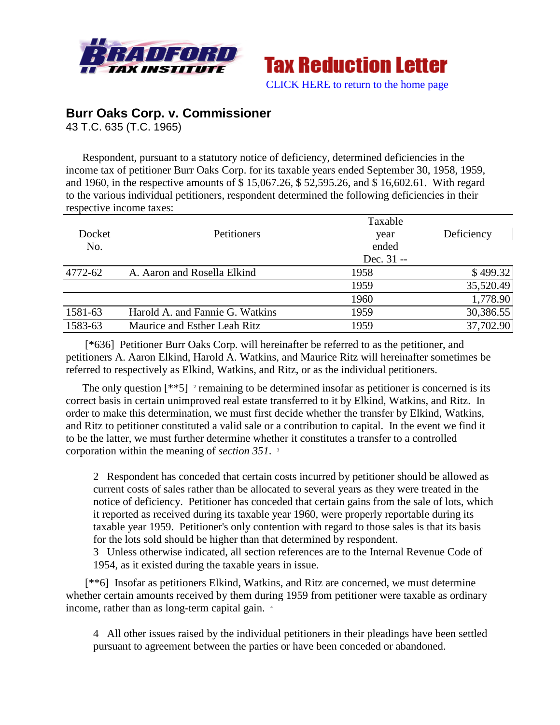



## **Burr Oaks Corp. v. Commissioner**

43 T.C. 635 (T.C. 1965)

Respondent, pursuant to a statutory notice of deficiency, determined deficiencies in the income tax of petitioner Burr Oaks Corp. for its taxable years ended September 30, 1958, 1959, and 1960, in the respective amounts of \$ 15,067.26, \$ 52,595.26, and \$ 16,602.61. With regard to the various individual petitioners, respondent determined the following deficiencies in their respective income taxes:

|         |                                 | Taxable     |            |
|---------|---------------------------------|-------------|------------|
| Docket  | <b>Petitioners</b>              | year        | Deficiency |
| No.     |                                 | ended       |            |
|         |                                 | Dec. $31 -$ |            |
| 4772-62 | A. Aaron and Rosella Elkind     | 1958        | \$499.32   |
|         |                                 | 1959        | 35,520.49  |
|         |                                 | 1960        | 1,778.90   |
| 1581-63 | Harold A. and Fannie G. Watkins | 1959        | 30,386.55  |
| 1583-63 | Maurice and Esther Leah Ritz    | 1959        | 37,702.90  |

[\*636] Petitioner Burr Oaks Corp. will hereinafter be referred to as the petitioner, and petitioners A. Aaron Elkind, Harold A. Watkins, and Maurice Ritz will hereinafter sometimes be referred to respectively as Elkind, Watkins, and Ritz, or as the individual petitioners.

The only question  $[***5]$ <sup>2</sup> remaining to be determined insofar as petitioner is concerned is its correct basis in certain unimproved real estate transferred to it by Elkind, Watkins, and Ritz. In order to make this determination, we must first decide whether the transfer by Elkind, Watkins, and Ritz to petitioner constituted a valid sale or a contribution to capital. In the event we find it to be the latter, we must further determine whether it constitutes a transfer to a controlled corporation within the meaning of *section 351*. 3

2 Respondent has conceded that certain costs incurred by petitioner should be allowed as current costs of sales rather than be allocated to several years as they were treated in the notice of deficiency. Petitioner has conceded that certain gains from the sale of lots, which it reported as received during its taxable year 1960, were properly reportable during its taxable year 1959. Petitioner's only contention with regard to those sales is that its basis for the lots sold should be higher than that determined by respondent.

3 Unless otherwise indicated, all section references are to the Internal Revenue Code of 1954, as it existed during the taxable years in issue.

[\*\*6] Insofar as petitioners Elkind, Watkins, and Ritz are concerned, we must determine whether certain amounts received by them during 1959 from petitioner were taxable as ordinary income, rather than as long-term capital gain.  $4$ 

4 All other issues raised by the individual petitioners in their pleadings have been settled pursuant to agreement between the parties or have been conceded or abandoned.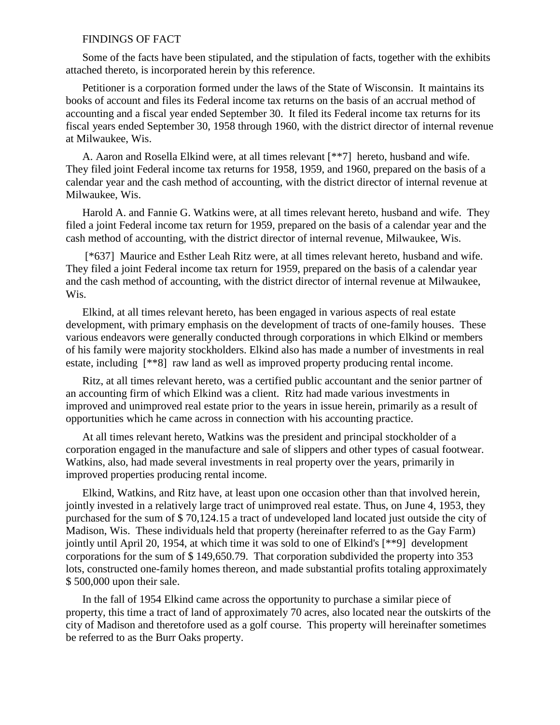## FINDINGS OF FACT

Some of the facts have been stipulated, and the stipulation of facts, together with the exhibits attached thereto, is incorporated herein by this reference.

Petitioner is a corporation formed under the laws of the State of Wisconsin. It maintains its books of account and files its Federal income tax returns on the basis of an accrual method of accounting and a fiscal year ended September 30. It filed its Federal income tax returns for its fiscal years ended September 30, 1958 through 1960, with the district director of internal revenue at Milwaukee, Wis.

A. Aaron and Rosella Elkind were, at all times relevant [\*\*7] hereto, husband and wife. They filed joint Federal income tax returns for 1958, 1959, and 1960, prepared on the basis of a calendar year and the cash method of accounting, with the district director of internal revenue at Milwaukee, Wis.

Harold A. and Fannie G. Watkins were, at all times relevant hereto, husband and wife. They filed a joint Federal income tax return for 1959, prepared on the basis of a calendar year and the cash method of accounting, with the district director of internal revenue, Milwaukee, Wis.

[\*637] Maurice and Esther Leah Ritz were, at all times relevant hereto, husband and wife. They filed a joint Federal income tax return for 1959, prepared on the basis of a calendar year and the cash method of accounting, with the district director of internal revenue at Milwaukee, Wis.

Elkind, at all times relevant hereto, has been engaged in various aspects of real estate development, with primary emphasis on the development of tracts of one-family houses. These various endeavors were generally conducted through corporations in which Elkind or members of his family were majority stockholders. Elkind also has made a number of investments in real estate, including [\*\*8] raw land as well as improved property producing rental income.

Ritz, at all times relevant hereto, was a certified public accountant and the senior partner of an accounting firm of which Elkind was a client. Ritz had made various investments in improved and unimproved real estate prior to the years in issue herein, primarily as a result of opportunities which he came across in connection with his accounting practice.

At all times relevant hereto, Watkins was the president and principal stockholder of a corporation engaged in the manufacture and sale of slippers and other types of casual footwear. Watkins, also, had made several investments in real property over the years, primarily in improved properties producing rental income.

Elkind, Watkins, and Ritz have, at least upon one occasion other than that involved herein, jointly invested in a relatively large tract of unimproved real estate. Thus, on June 4, 1953, they purchased for the sum of \$ 70,124.15 a tract of undeveloped land located just outside the city of Madison, Wis. These individuals held that property (hereinafter referred to as the Gay Farm) jointly until April 20, 1954, at which time it was sold to one of Elkind's [\*\*9] development corporations for the sum of \$ 149,650.79. That corporation subdivided the property into 353 lots, constructed one-family homes thereon, and made substantial profits totaling approximately \$ 500,000 upon their sale.

In the fall of 1954 Elkind came across the opportunity to purchase a similar piece of property, this time a tract of land of approximately 70 acres, also located near the outskirts of the city of Madison and theretofore used as a golf course. This property will hereinafter sometimes be referred to as the Burr Oaks property.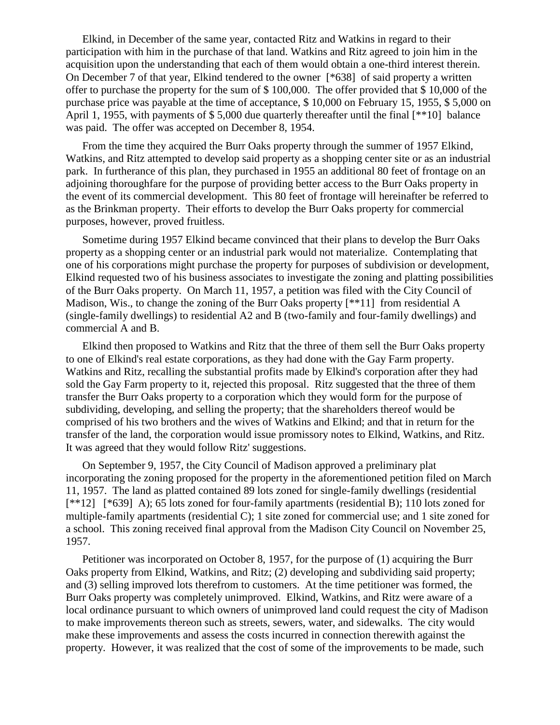Elkind, in December of the same year, contacted Ritz and Watkins in regard to their participation with him in the purchase of that land. Watkins and Ritz agreed to join him in the acquisition upon the understanding that each of them would obtain a one-third interest therein. On December 7 of that year, Elkind tendered to the owner [\*638] of said property a written offer to purchase the property for the sum of \$ 100,000. The offer provided that \$ 10,000 of the purchase price was payable at the time of acceptance, \$ 10,000 on February 15, 1955, \$ 5,000 on April 1, 1955, with payments of \$ 5,000 due quarterly thereafter until the final [\*\*10] balance was paid. The offer was accepted on December 8, 1954.

From the time they acquired the Burr Oaks property through the summer of 1957 Elkind, Watkins, and Ritz attempted to develop said property as a shopping center site or as an industrial park. In furtherance of this plan, they purchased in 1955 an additional 80 feet of frontage on an adjoining thoroughfare for the purpose of providing better access to the Burr Oaks property in the event of its commercial development. This 80 feet of frontage will hereinafter be referred to as the Brinkman property. Their efforts to develop the Burr Oaks property for commercial purposes, however, proved fruitless.

Sometime during 1957 Elkind became convinced that their plans to develop the Burr Oaks property as a shopping center or an industrial park would not materialize. Contemplating that one of his corporations might purchase the property for purposes of subdivision or development, Elkind requested two of his business associates to investigate the zoning and platting possibilities of the Burr Oaks property. On March 11, 1957, a petition was filed with the City Council of Madison, Wis., to change the zoning of the Burr Oaks property [\*\*11] from residential A (single-family dwellings) to residential A2 and B (two-family and four-family dwellings) and commercial A and B.

Elkind then proposed to Watkins and Ritz that the three of them sell the Burr Oaks property to one of Elkind's real estate corporations, as they had done with the Gay Farm property. Watkins and Ritz, recalling the substantial profits made by Elkind's corporation after they had sold the Gay Farm property to it, rejected this proposal. Ritz suggested that the three of them transfer the Burr Oaks property to a corporation which they would form for the purpose of subdividing, developing, and selling the property; that the shareholders thereof would be comprised of his two brothers and the wives of Watkins and Elkind; and that in return for the transfer of the land, the corporation would issue promissory notes to Elkind, Watkins, and Ritz. It was agreed that they would follow Ritz' suggestions.

On September 9, 1957, the City Council of Madison approved a preliminary plat incorporating the zoning proposed for the property in the aforementioned petition filed on March 11, 1957. The land as platted contained 89 lots zoned for single-family dwellings (residential [\*\*12] [\*639] A); 65 lots zoned for four-family apartments (residential B); 110 lots zoned for multiple-family apartments (residential C); 1 site zoned for commercial use; and 1 site zoned for a school. This zoning received final approval from the Madison City Council on November 25, 1957.

Petitioner was incorporated on October 8, 1957, for the purpose of (1) acquiring the Burr Oaks property from Elkind, Watkins, and Ritz; (2) developing and subdividing said property; and (3) selling improved lots therefrom to customers. At the time petitioner was formed, the Burr Oaks property was completely unimproved. Elkind, Watkins, and Ritz were aware of a local ordinance pursuant to which owners of unimproved land could request the city of Madison to make improvements thereon such as streets, sewers, water, and sidewalks. The city would make these improvements and assess the costs incurred in connection therewith against the property. However, it was realized that the cost of some of the improvements to be made, such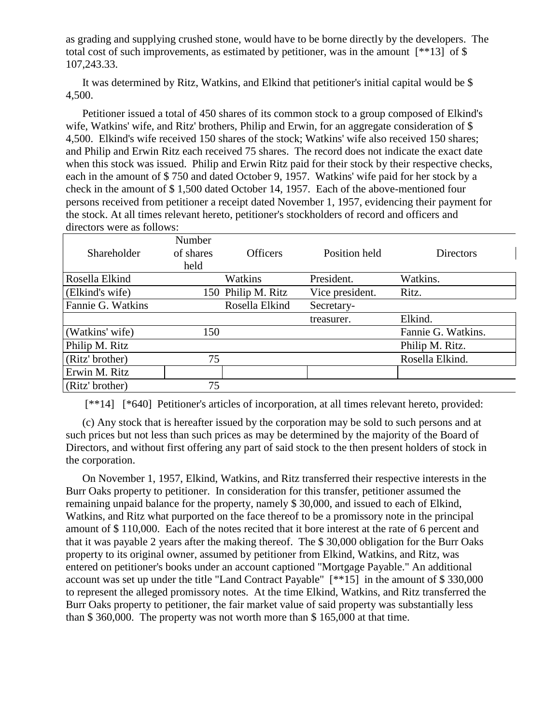as grading and supplying crushed stone, would have to be borne directly by the developers. The total cost of such improvements, as estimated by petitioner, was in the amount [\*\*13] of \$ 107,243.33.

It was determined by Ritz, Watkins, and Elkind that petitioner's initial capital would be \$ 4,500.

Petitioner issued a total of 450 shares of its common stock to a group composed of Elkind's wife, Watkins' wife, and Ritz' brothers, Philip and Erwin, for an aggregate consideration of \$ 4,500. Elkind's wife received 150 shares of the stock; Watkins' wife also received 150 shares; and Philip and Erwin Ritz each received 75 shares. The record does not indicate the exact date when this stock was issued. Philip and Erwin Ritz paid for their stock by their respective checks, each in the amount of \$ 750 and dated October 9, 1957. Watkins' wife paid for her stock by a check in the amount of \$ 1,500 dated October 14, 1957. Each of the above-mentioned four persons received from petitioner a receipt dated November 1, 1957, evidencing their payment for the stock. At all times relevant hereto, petitioner's stockholders of record and officers and directors were as follows:

|                   | Number    |                    |                 |                    |
|-------------------|-----------|--------------------|-----------------|--------------------|
| Shareholder       | of shares | <b>Officers</b>    | Position held   | <b>Directors</b>   |
|                   | held      |                    |                 |                    |
| Rosella Elkind    |           | Watkins            | President.      | Watkins.           |
| (Elkind's wife)   |           | 150 Philip M. Ritz | Vice president. | Ritz.              |
| Fannie G. Watkins |           | Rosella Elkind     | Secretary-      |                    |
|                   |           |                    | treasurer.      | Elkind.            |
| (Watkins' wife)   | 150       |                    |                 | Fannie G. Watkins. |
| Philip M. Ritz    |           |                    |                 | Philip M. Ritz.    |
| (Ritz' brother)   | 75        |                    |                 | Rosella Elkind.    |
| Erwin M. Ritz     |           |                    |                 |                    |
| (Ritz' brother)   | 75        |                    |                 |                    |

[\*\*14] [\*640] Petitioner's articles of incorporation, at all times relevant hereto, provided:

(c) Any stock that is hereafter issued by the corporation may be sold to such persons and at such prices but not less than such prices as may be determined by the majority of the Board of Directors, and without first offering any part of said stock to the then present holders of stock in the corporation.

On November 1, 1957, Elkind, Watkins, and Ritz transferred their respective interests in the Burr Oaks property to petitioner. In consideration for this transfer, petitioner assumed the remaining unpaid balance for the property, namely \$ 30,000, and issued to each of Elkind, Watkins, and Ritz what purported on the face thereof to be a promissory note in the principal amount of \$ 110,000. Each of the notes recited that it bore interest at the rate of 6 percent and that it was payable 2 years after the making thereof. The \$ 30,000 obligation for the Burr Oaks property to its original owner, assumed by petitioner from Elkind, Watkins, and Ritz, was entered on petitioner's books under an account captioned "Mortgage Payable." An additional account was set up under the title "Land Contract Payable" [\*\*15] in the amount of \$ 330,000 to represent the alleged promissory notes. At the time Elkind, Watkins, and Ritz transferred the Burr Oaks property to petitioner, the fair market value of said property was substantially less than \$ 360,000. The property was not worth more than \$ 165,000 at that time.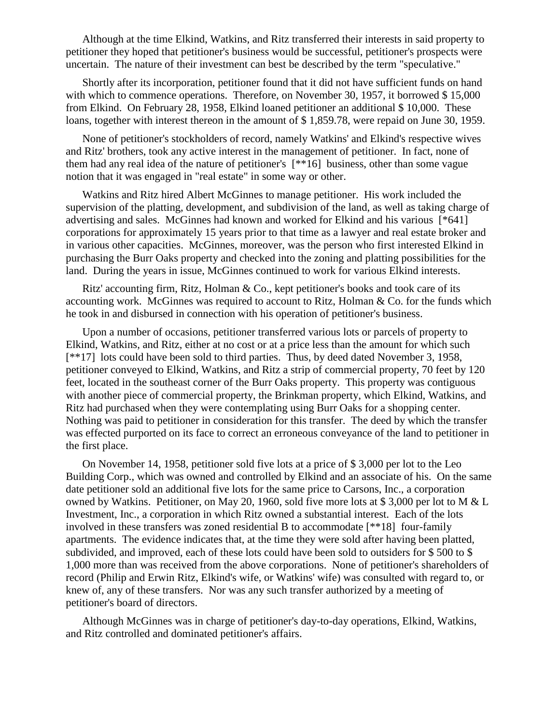Although at the time Elkind, Watkins, and Ritz transferred their interests in said property to petitioner they hoped that petitioner's business would be successful, petitioner's prospects were uncertain. The nature of their investment can best be described by the term "speculative."

Shortly after its incorporation, petitioner found that it did not have sufficient funds on hand with which to commence operations. Therefore, on November 30, 1957, it borrowed \$ 15,000 from Elkind. On February 28, 1958, Elkind loaned petitioner an additional \$ 10,000. These loans, together with interest thereon in the amount of \$ 1,859.78, were repaid on June 30, 1959.

None of petitioner's stockholders of record, namely Watkins' and Elkind's respective wives and Ritz' brothers, took any active interest in the management of petitioner. In fact, none of them had any real idea of the nature of petitioner's [\*\*16] business, other than some vague notion that it was engaged in "real estate" in some way or other.

Watkins and Ritz hired Albert McGinnes to manage petitioner. His work included the supervision of the platting, development, and subdivision of the land, as well as taking charge of advertising and sales. McGinnes had known and worked for Elkind and his various [\*641] corporations for approximately 15 years prior to that time as a lawyer and real estate broker and in various other capacities. McGinnes, moreover, was the person who first interested Elkind in purchasing the Burr Oaks property and checked into the zoning and platting possibilities for the land. During the years in issue, McGinnes continued to work for various Elkind interests.

Ritz' accounting firm, Ritz, Holman & Co., kept petitioner's books and took care of its accounting work. McGinnes was required to account to Ritz, Holman & Co. for the funds which he took in and disbursed in connection with his operation of petitioner's business.

Upon a number of occasions, petitioner transferred various lots or parcels of property to Elkind, Watkins, and Ritz, either at no cost or at a price less than the amount for which such [\*\*17] lots could have been sold to third parties. Thus, by deed dated November 3, 1958, petitioner conveyed to Elkind, Watkins, and Ritz a strip of commercial property, 70 feet by 120 feet, located in the southeast corner of the Burr Oaks property. This property was contiguous with another piece of commercial property, the Brinkman property, which Elkind, Watkins, and Ritz had purchased when they were contemplating using Burr Oaks for a shopping center. Nothing was paid to petitioner in consideration for this transfer. The deed by which the transfer was effected purported on its face to correct an erroneous conveyance of the land to petitioner in the first place.

On November 14, 1958, petitioner sold five lots at a price of \$ 3,000 per lot to the Leo Building Corp., which was owned and controlled by Elkind and an associate of his. On the same date petitioner sold an additional five lots for the same price to Carsons, Inc., a corporation owned by Watkins. Petitioner, on May 20, 1960, sold five more lots at \$ 3,000 per lot to M & L Investment, Inc., a corporation in which Ritz owned a substantial interest. Each of the lots involved in these transfers was zoned residential B to accommodate [\*\*18] four-family apartments. The evidence indicates that, at the time they were sold after having been platted, subdivided, and improved, each of these lots could have been sold to outsiders for \$ 500 to \$ 1,000 more than was received from the above corporations. None of petitioner's shareholders of record (Philip and Erwin Ritz, Elkind's wife, or Watkins' wife) was consulted with regard to, or knew of, any of these transfers. Nor was any such transfer authorized by a meeting of petitioner's board of directors.

Although McGinnes was in charge of petitioner's day-to-day operations, Elkind, Watkins, and Ritz controlled and dominated petitioner's affairs.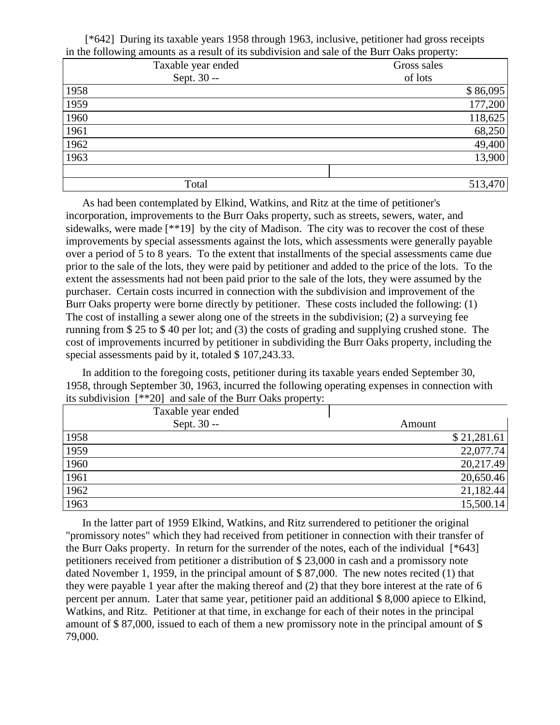[\*642] During its taxable years 1958 through 1963, inclusive, petitioner had gross receipts in the following amounts as a result of its subdivision and sale of the Burr Oaks property:

| Taxable year ended | Gross sales |
|--------------------|-------------|
| Sept. 30 --        | of lots     |
| 1958               | \$86,095    |
| 1959               | 177,200     |
| 1960               | 118,625     |
| 1961               | 68,250      |
| 1962               | 49,400      |
| 1963               | 13,900      |
|                    |             |
| Total              | 513,470     |

As had been contemplated by Elkind, Watkins, and Ritz at the time of petitioner's incorporation, improvements to the Burr Oaks property, such as streets, sewers, water, and sidewalks, were made [\*\*19] by the city of Madison. The city was to recover the cost of these improvements by special assessments against the lots, which assessments were generally payable over a period of 5 to 8 years. To the extent that installments of the special assessments came due prior to the sale of the lots, they were paid by petitioner and added to the price of the lots. To the extent the assessments had not been paid prior to the sale of the lots, they were assumed by the purchaser. Certain costs incurred in connection with the subdivision and improvement of the Burr Oaks property were borne directly by petitioner. These costs included the following: (1) The cost of installing a sewer along one of the streets in the subdivision; (2) a surveying fee running from \$ 25 to \$ 40 per lot; and (3) the costs of grading and supplying crushed stone. The cost of improvements incurred by petitioner in subdividing the Burr Oaks property, including the special assessments paid by it, totaled \$107,243.33.

In addition to the foregoing costs, petitioner during its taxable years ended September 30, 1958, through September 30, 1963, incurred the following operating expenses in connection with its subdivision [\*\*20] and sale of the Burr Oaks property:

|      | Taxable year ended |        |             |
|------|--------------------|--------|-------------|
|      | Sept. 30 --        | Amount |             |
| 1958 |                    |        | \$21,281.61 |
| 1959 |                    |        | 22,077.74   |
| 1960 |                    |        | 20,217.49   |
| 1961 |                    |        | 20,650.46   |
| 1962 |                    |        | 21,182.44   |
| 1963 |                    |        | 15,500.14   |

In the latter part of 1959 Elkind, Watkins, and Ritz surrendered to petitioner the original "promissory notes" which they had received from petitioner in connection with their transfer of the Burr Oaks property. In return for the surrender of the notes, each of the individual  $[^*643]$ petitioners received from petitioner a distribution of \$ 23,000 in cash and a promissory note dated November 1, 1959, in the principal amount of \$ 87,000. The new notes recited (1) that they were payable 1 year after the making thereof and (2) that they bore interest at the rate of 6 percent per annum. Later that same year, petitioner paid an additional \$ 8,000 apiece to Elkind, Watkins, and Ritz. Petitioner at that time, in exchange for each of their notes in the principal amount of \$ 87,000, issued to each of them a new promissory note in the principal amount of \$ 79,000.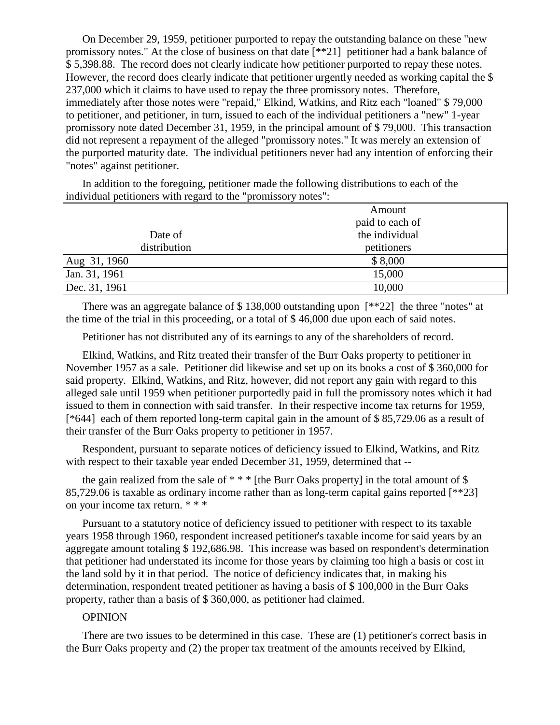On December 29, 1959, petitioner purported to repay the outstanding balance on these "new promissory notes." At the close of business on that date [\*\*21] petitioner had a bank balance of \$ 5,398.88. The record does not clearly indicate how petitioner purported to repay these notes. However, the record does clearly indicate that petitioner urgently needed as working capital the \$ 237,000 which it claims to have used to repay the three promissory notes. Therefore, immediately after those notes were "repaid," Elkind, Watkins, and Ritz each "loaned" \$ 79,000 to petitioner, and petitioner, in turn, issued to each of the individual petitioners a "new" 1-year promissory note dated December 31, 1959, in the principal amount of \$ 79,000. This transaction did not represent a repayment of the alleged "promissory notes." It was merely an extension of the purported maturity date. The individual petitioners never had any intention of enforcing their "notes" against petitioner.

In addition to the foregoing, petitioner made the following distributions to each of the individual petitioners with regard to the "promissory notes":

|               | Amount          |
|---------------|-----------------|
|               | paid to each of |
| Date of       | the individual  |
| distribution  | petitioners     |
| Aug 31, 1960  | \$8,000         |
| Jan. 31, 1961 | 15,000          |
| Dec. 31, 1961 | 10,000          |

There was an aggregate balance of \$138,000 outstanding upon  $[***22]$  the three "notes" at the time of the trial in this proceeding, or a total of \$ 46,000 due upon each of said notes.

Petitioner has not distributed any of its earnings to any of the shareholders of record.

Elkind, Watkins, and Ritz treated their transfer of the Burr Oaks property to petitioner in November 1957 as a sale. Petitioner did likewise and set up on its books a cost of \$ 360,000 for said property. Elkind, Watkins, and Ritz, however, did not report any gain with regard to this alleged sale until 1959 when petitioner purportedly paid in full the promissory notes which it had issued to them in connection with said transfer. In their respective income tax returns for 1959, [\*644] each of them reported long-term capital gain in the amount of \$ 85,729.06 as a result of their transfer of the Burr Oaks property to petitioner in 1957.

Respondent, pursuant to separate notices of deficiency issued to Elkind, Watkins, and Ritz with respect to their taxable year ended December 31, 1959, determined that --

the gain realized from the sale of  $***$  [the Burr Oaks property] in the total amount of \$ 85,729.06 is taxable as ordinary income rather than as long-term capital gains reported [\*\*23] on your income tax return. \* \* \*

Pursuant to a statutory notice of deficiency issued to petitioner with respect to its taxable years 1958 through 1960, respondent increased petitioner's taxable income for said years by an aggregate amount totaling \$ 192,686.98. This increase was based on respondent's determination that petitioner had understated its income for those years by claiming too high a basis or cost in the land sold by it in that period. The notice of deficiency indicates that, in making his determination, respondent treated petitioner as having a basis of \$ 100,000 in the Burr Oaks property, rather than a basis of \$ 360,000, as petitioner had claimed.

## **OPINION**

There are two issues to be determined in this case. These are (1) petitioner's correct basis in the Burr Oaks property and (2) the proper tax treatment of the amounts received by Elkind,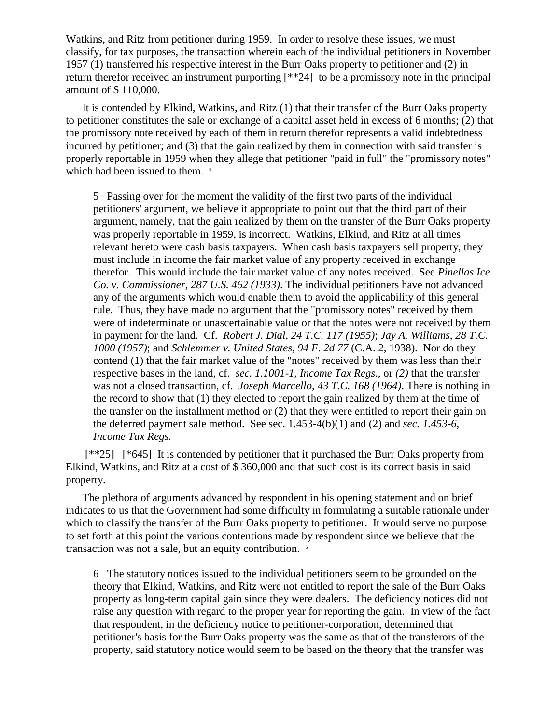Watkins, and Ritz from petitioner during 1959. In order to resolve these issues, we must classify, for tax purposes, the transaction wherein each of the individual petitioners in November 1957 (1) transferred his respective interest in the Burr Oaks property to petitioner and (2) in return therefor received an instrument purporting [\*\*24] to be a promissory note in the principal amount of \$ 110,000.

It is contended by Elkind, Watkins, and Ritz (1) that their transfer of the Burr Oaks property to petitioner constitutes the sale or exchange of a capital asset held in excess of 6 months; (2) that the promissory note received by each of them in return therefor represents a valid indebtedness incurred by petitioner; and (3) that the gain realized by them in connection with said transfer is properly reportable in 1959 when they allege that petitioner "paid in full" the "promissory notes" which had been issued to them. <sup>5</sup>

5 Passing over for the moment the validity of the first two parts of the individual petitioners' argument, we believe it appropriate to point out that the third part of their argument, namely, that the gain realized by them on the transfer of the Burr Oaks property was properly reportable in 1959, is incorrect. Watkins, Elkind, and Ritz at all times relevant hereto were cash basis taxpayers. When cash basis taxpayers sell property, they must include in income the fair market value of any property received in exchange therefor. This would include the fair market value of any notes received. See *Pinellas Ice Co. v. Commissioner, 287 U.S. 462 (1933)*. The individual petitioners have not advanced any of the arguments which would enable them to avoid the applicability of this general rule. Thus, they have made no argument that the "promissory notes" received by them were of indeterminate or unascertainable value or that the notes were not received by them in payment for the land. Cf. *Robert J. Dial, 24 T.C. 117 (1955)*; *Jay A. Williams, 28 T.C. 1000 (1957)*; and *Schlemmer v. United States, 94 F. 2d 77* (C.A. 2, 1938). Nor do they contend (1) that the fair market value of the "notes" received by them was less than their respective bases in the land, cf. *sec. 1.1001-1, Income Tax Regs.*, or *(2)* that the transfer was not a closed transaction, cf. *Joseph Marcello, 43 T.C. 168 (1964)*. There is nothing in the record to show that (1) they elected to report the gain realized by them at the time of the transfer on the installment method or (2) that they were entitled to report their gain on the deferred payment sale method. See sec. 1.453-4(b)(1) and (2) and *sec. 1.453-6, Income Tax Regs.*

[\*\*25] [\*645] It is contended by petitioner that it purchased the Burr Oaks property from Elkind, Watkins, and Ritz at a cost of \$ 360,000 and that such cost is its correct basis in said property.

The plethora of arguments advanced by respondent in his opening statement and on brief indicates to us that the Government had some difficulty in formulating a suitable rationale under which to classify the transfer of the Burr Oaks property to petitioner. It would serve no purpose to set forth at this point the various contentions made by respondent since we believe that the transaction was not a sale, but an equity contribution. <sup>6</sup>

6 The statutory notices issued to the individual petitioners seem to be grounded on the theory that Elkind, Watkins, and Ritz were not entitled to report the sale of the Burr Oaks property as long-term capital gain since they were dealers. The deficiency notices did not raise any question with regard to the proper year for reporting the gain. In view of the fact that respondent, in the deficiency notice to petitioner-corporation, determined that petitioner's basis for the Burr Oaks property was the same as that of the transferors of the property, said statutory notice would seem to be based on the theory that the transfer was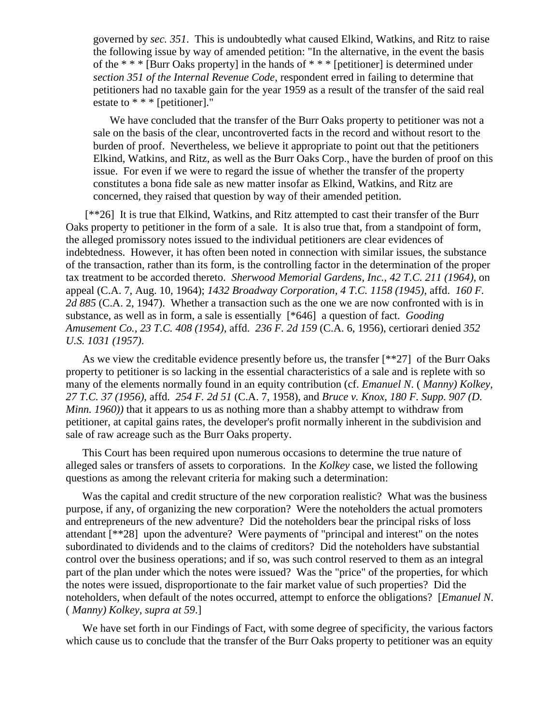governed by *sec. 351*. This is undoubtedly what caused Elkind, Watkins, and Ritz to raise the following issue by way of amended petition: "In the alternative, in the event the basis of the  $**$  \* [Burr Oaks property] in the hands of  $***$  [petitioner] is determined under *section 351 of the Internal Revenue Code*, respondent erred in failing to determine that petitioners had no taxable gain for the year 1959 as a result of the transfer of the said real estate to  $* * *$  [petitioner]."

We have concluded that the transfer of the Burr Oaks property to petitioner was not a sale on the basis of the clear, uncontroverted facts in the record and without resort to the burden of proof. Nevertheless, we believe it appropriate to point out that the petitioners Elkind, Watkins, and Ritz, as well as the Burr Oaks Corp., have the burden of proof on this issue. For even if we were to regard the issue of whether the transfer of the property constitutes a bona fide sale as new matter insofar as Elkind, Watkins, and Ritz are concerned, they raised that question by way of their amended petition.

[\*\*26] It is true that Elkind, Watkins, and Ritz attempted to cast their transfer of the Burr Oaks property to petitioner in the form of a sale. It is also true that, from a standpoint of form, the alleged promissory notes issued to the individual petitioners are clear evidences of indebtedness. However, it has often been noted in connection with similar issues, the substance of the transaction, rather than its form, is the controlling factor in the determination of the proper tax treatment to be accorded thereto. *Sherwood Memorial Gardens, Inc., 42 T.C. 211 (1964)*, on appeal (C.A. 7, Aug. 10, 1964); *1432 Broadway Corporation, 4 T.C. 1158 (1945)*, affd. *160 F. 2d 885* (C.A. 2, 1947). Whether a transaction such as the one we are now confronted with is in substance, as well as in form, a sale is essentially [\*646] a question of fact. *Gooding Amusement Co., 23 T.C. 408 (1954)*, affd. *236 F. 2d 159* (C.A. 6, 1956), certiorari denied *352 U.S. 1031 (1957)*.

As we view the creditable evidence presently before us, the transfer [\*\*27] of the Burr Oaks property to petitioner is so lacking in the essential characteristics of a sale and is replete with so many of the elements normally found in an equity contribution (cf. *Emanuel N*. ( *Manny) Kolkey, 27 T.C. 37 (1956)*, affd. *254 F. 2d 51* (C.A. 7, 1958), and *Bruce v. Knox, 180 F. Supp. 907 (D. Minn.* 1960)) that it appears to us as nothing more than a shabby attempt to withdraw from petitioner, at capital gains rates, the developer's profit normally inherent in the subdivision and sale of raw acreage such as the Burr Oaks property.

This Court has been required upon numerous occasions to determine the true nature of alleged sales or transfers of assets to corporations. In the *Kolkey* case, we listed the following questions as among the relevant criteria for making such a determination:

Was the capital and credit structure of the new corporation realistic? What was the business purpose, if any, of organizing the new corporation? Were the noteholders the actual promoters and entrepreneurs of the new adventure? Did the noteholders bear the principal risks of loss attendant [\*\*28] upon the adventure? Were payments of "principal and interest" on the notes subordinated to dividends and to the claims of creditors? Did the noteholders have substantial control over the business operations; and if so, was such control reserved to them as an integral part of the plan under which the notes were issued? Was the "price" of the properties, for which the notes were issued, disproportionate to the fair market value of such properties? Did the noteholders, when default of the notes occurred, attempt to enforce the obligations? [*Emanuel N*. ( *Manny) Kolkey, supra at 59*.]

We have set forth in our Findings of Fact, with some degree of specificity, the various factors which cause us to conclude that the transfer of the Burr Oaks property to petitioner was an equity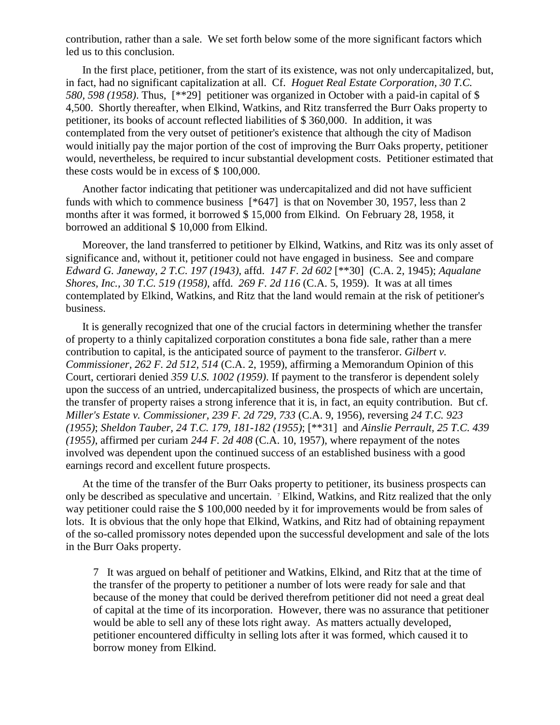contribution, rather than a sale. We set forth below some of the more significant factors which led us to this conclusion.

In the first place, petitioner, from the start of its existence, was not only undercapitalized, but, in fact, had no significant capitalization at all. Cf. *Hoguet Real Estate Corporation, 30 T.C. 580, 598 (1958)*. Thus, [\*\*29] petitioner was organized in October with a paid-in capital of \$ 4,500. Shortly thereafter, when Elkind, Watkins, and Ritz transferred the Burr Oaks property to petitioner, its books of account reflected liabilities of \$ 360,000. In addition, it was contemplated from the very outset of petitioner's existence that although the city of Madison would initially pay the major portion of the cost of improving the Burr Oaks property, petitioner would, nevertheless, be required to incur substantial development costs. Petitioner estimated that these costs would be in excess of \$ 100,000.

Another factor indicating that petitioner was undercapitalized and did not have sufficient funds with which to commence business [\*647] is that on November 30, 1957, less than 2 months after it was formed, it borrowed \$ 15,000 from Elkind. On February 28, 1958, it borrowed an additional \$ 10,000 from Elkind.

Moreover, the land transferred to petitioner by Elkind, Watkins, and Ritz was its only asset of significance and, without it, petitioner could not have engaged in business. See and compare *Edward G. Janeway, 2 T.C. 197 (1943)*, affd. *147 F. 2d 602* [\*\*30] (C.A. 2, 1945); *Aqualane Shores, Inc., 30 T.C. 519 (1958)*, affd. *269 F. 2d 116* (C.A. 5, 1959). It was at all times contemplated by Elkind, Watkins, and Ritz that the land would remain at the risk of petitioner's business.

It is generally recognized that one of the crucial factors in determining whether the transfer of property to a thinly capitalized corporation constitutes a bona fide sale, rather than a mere contribution to capital, is the anticipated source of payment to the transferor. *Gilbert v. Commissioner, 262 F. 2d 512, 514* (C.A. 2, 1959), affirming a Memorandum Opinion of this Court, certiorari denied *359 U.S. 1002 (1959)*. If payment to the transferor is dependent solely upon the success of an untried, undercapitalized business, the prospects of which are uncertain, the transfer of property raises a strong inference that it is, in fact, an equity contribution. But cf. *Miller's Estate v. Commissioner, 239 F. 2d 729, 733* (C.A. 9, 1956), reversing *24 T.C. 923 (1955)*; *Sheldon Tauber, 24 T.C. 179, 181-182 (1955)*; [\*\*31] and *Ainslie Perrault, 25 T.C. 439 (1955)*, affirmed per curiam *244 F. 2d 408* (C.A. 10, 1957), where repayment of the notes involved was dependent upon the continued success of an established business with a good earnings record and excellent future prospects.

At the time of the transfer of the Burr Oaks property to petitioner, its business prospects can only be described as speculative and uncertain. <sup>7</sup> Elkind, Watkins, and Ritz realized that the only way petitioner could raise the \$ 100,000 needed by it for improvements would be from sales of lots. It is obvious that the only hope that Elkind, Watkins, and Ritz had of obtaining repayment of the so-called promissory notes depended upon the successful development and sale of the lots in the Burr Oaks property.

7 It was argued on behalf of petitioner and Watkins, Elkind, and Ritz that at the time of the transfer of the property to petitioner a number of lots were ready for sale and that because of the money that could be derived therefrom petitioner did not need a great deal of capital at the time of its incorporation. However, there was no assurance that petitioner would be able to sell any of these lots right away. As matters actually developed, petitioner encountered difficulty in selling lots after it was formed, which caused it to borrow money from Elkind.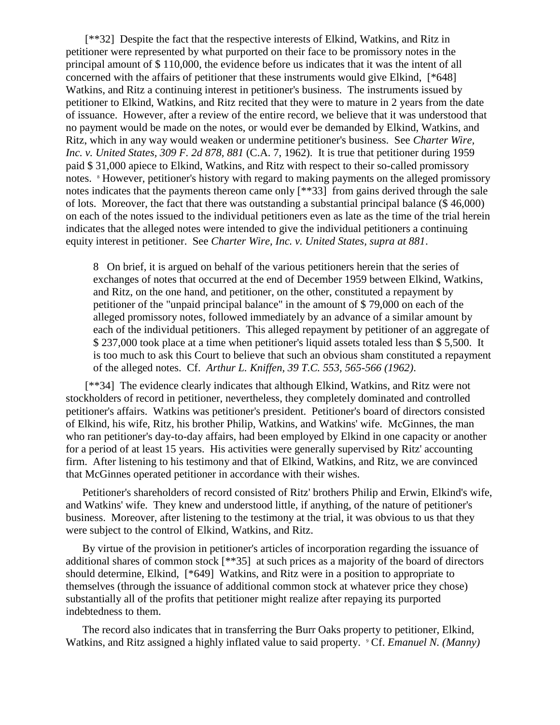[\*\*32] Despite the fact that the respective interests of Elkind, Watkins, and Ritz in petitioner were represented by what purported on their face to be promissory notes in the principal amount of \$ 110,000, the evidence before us indicates that it was the intent of all concerned with the affairs of petitioner that these instruments would give Elkind, [\*648] Watkins, and Ritz a continuing interest in petitioner's business. The instruments issued by petitioner to Elkind, Watkins, and Ritz recited that they were to mature in 2 years from the date of issuance. However, after a review of the entire record, we believe that it was understood that no payment would be made on the notes, or would ever be demanded by Elkind, Watkins, and Ritz, which in any way would weaken or undermine petitioner's business. See *Charter Wire, Inc. v. United States, 309 F. 2d 878, 881* (C.A. 7, 1962). It is true that petitioner during 1959 paid \$ 31,000 apiece to Elkind, Watkins, and Ritz with respect to their so-called promissory notes. <sup>8</sup> However, petitioner's history with regard to making payments on the alleged promissory notes indicates that the payments thereon came only [\*\*33] from gains derived through the sale of lots. Moreover, the fact that there was outstanding a substantial principal balance (\$ 46,000) on each of the notes issued to the individual petitioners even as late as the time of the trial herein indicates that the alleged notes were intended to give the individual petitioners a continuing equity interest in petitioner. See *Charter Wire, Inc. v. United States, supra at 881*.

8 On brief, it is argued on behalf of the various petitioners herein that the series of exchanges of notes that occurred at the end of December 1959 between Elkind, Watkins, and Ritz, on the one hand, and petitioner, on the other, constituted a repayment by petitioner of the "unpaid principal balance" in the amount of \$ 79,000 on each of the alleged promissory notes, followed immediately by an advance of a similar amount by each of the individual petitioners. This alleged repayment by petitioner of an aggregate of \$ 237,000 took place at a time when petitioner's liquid assets totaled less than \$ 5,500. It is too much to ask this Court to believe that such an obvious sham constituted a repayment of the alleged notes. Cf. *Arthur L. Kniffen, 39 T.C. 553, 565-566 (1962)*.

[\*\*34] The evidence clearly indicates that although Elkind, Watkins, and Ritz were not stockholders of record in petitioner, nevertheless, they completely dominated and controlled petitioner's affairs. Watkins was petitioner's president. Petitioner's board of directors consisted of Elkind, his wife, Ritz, his brother Philip, Watkins, and Watkins' wife. McGinnes, the man who ran petitioner's day-to-day affairs, had been employed by Elkind in one capacity or another for a period of at least 15 years. His activities were generally supervised by Ritz' accounting firm. After listening to his testimony and that of Elkind, Watkins, and Ritz, we are convinced that McGinnes operated petitioner in accordance with their wishes.

Petitioner's shareholders of record consisted of Ritz' brothers Philip and Erwin, Elkind's wife, and Watkins' wife. They knew and understood little, if anything, of the nature of petitioner's business. Moreover, after listening to the testimony at the trial, it was obvious to us that they were subject to the control of Elkind, Watkins, and Ritz.

By virtue of the provision in petitioner's articles of incorporation regarding the issuance of additional shares of common stock [\*\*35] at such prices as a majority of the board of directors should determine, Elkind, [\*649] Watkins, and Ritz were in a position to appropriate to themselves (through the issuance of additional common stock at whatever price they chose) substantially all of the profits that petitioner might realize after repaying its purported indebtedness to them.

The record also indicates that in transferring the Burr Oaks property to petitioner, Elkind, Watkins, and Ritz assigned a highly inflated value to said property. *<sup>9</sup> Cf. Emanuel N. (Manny)*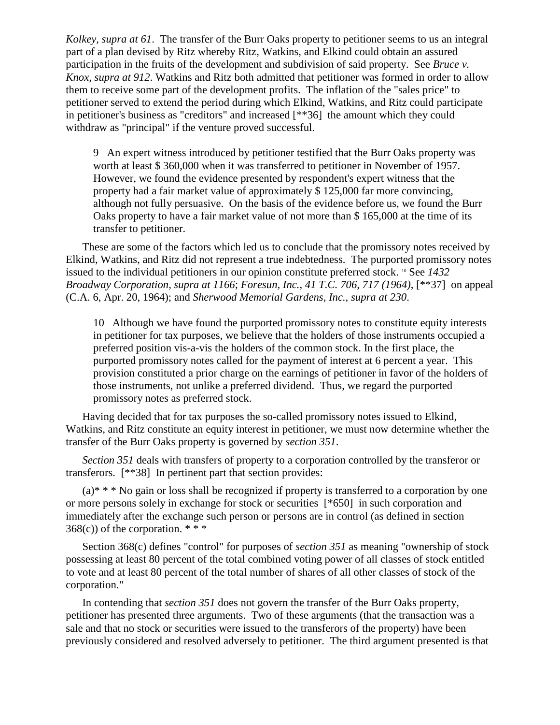*Kolkey, supra at 61*. The transfer of the Burr Oaks property to petitioner seems to us an integral part of a plan devised by Ritz whereby Ritz, Watkins, and Elkind could obtain an assured participation in the fruits of the development and subdivision of said property. See *Bruce v. Knox, supra at 912*. Watkins and Ritz both admitted that petitioner was formed in order to allow them to receive some part of the development profits. The inflation of the "sales price" to petitioner served to extend the period during which Elkind, Watkins, and Ritz could participate in petitioner's business as "creditors" and increased [\*\*36] the amount which they could withdraw as "principal" if the venture proved successful.

9 An expert witness introduced by petitioner testified that the Burr Oaks property was worth at least \$ 360,000 when it was transferred to petitioner in November of 1957. However, we found the evidence presented by respondent's expert witness that the property had a fair market value of approximately \$ 125,000 far more convincing, although not fully persuasive. On the basis of the evidence before us, we found the Burr Oaks property to have a fair market value of not more than \$ 165,000 at the time of its transfer to petitioner.

These are some of the factors which led us to conclude that the promissory notes received by Elkind, Watkins, and Ritz did not represent a true indebtedness. The purported promissory notes issued to the individual petitioners in our opinion constitute preferred stock. <sup>10</sup> See *1432 Broadway Corporation, supra at 1166*; *Foresun, Inc., 41 T.C. 706, 717 (1964)*, [\*\*37] on appeal (C.A. 6, Apr. 20, 1964); and *Sherwood Memorial Gardens, Inc., supra at 230*.

10 Although we have found the purported promissory notes to constitute equity interests in petitioner for tax purposes, we believe that the holders of those instruments occupied a preferred position vis-a-vis the holders of the common stock. In the first place, the purported promissory notes called for the payment of interest at 6 percent a year. This provision constituted a prior charge on the earnings of petitioner in favor of the holders of those instruments, not unlike a preferred dividend. Thus, we regard the purported promissory notes as preferred stock.

Having decided that for tax purposes the so-called promissory notes issued to Elkind, Watkins, and Ritz constitute an equity interest in petitioner, we must now determine whether the transfer of the Burr Oaks property is governed by *section 351*.

*Section 351* deals with transfers of property to a corporation controlled by the transferor or transferors. [\*\*38] In pertinent part that section provides:

 $(a)$ <sup>\*</sup> \* No gain or loss shall be recognized if property is transferred to a corporation by one or more persons solely in exchange for stock or securities [\*650] in such corporation and immediately after the exchange such person or persons are in control (as defined in section  $368(c)$  of the corporation. \* \* \*

Section 368(c) defines "control" for purposes of *section 351* as meaning "ownership of stock possessing at least 80 percent of the total combined voting power of all classes of stock entitled to vote and at least 80 percent of the total number of shares of all other classes of stock of the corporation."

In contending that *section 351* does not govern the transfer of the Burr Oaks property, petitioner has presented three arguments. Two of these arguments (that the transaction was a sale and that no stock or securities were issued to the transferors of the property) have been previously considered and resolved adversely to petitioner. The third argument presented is that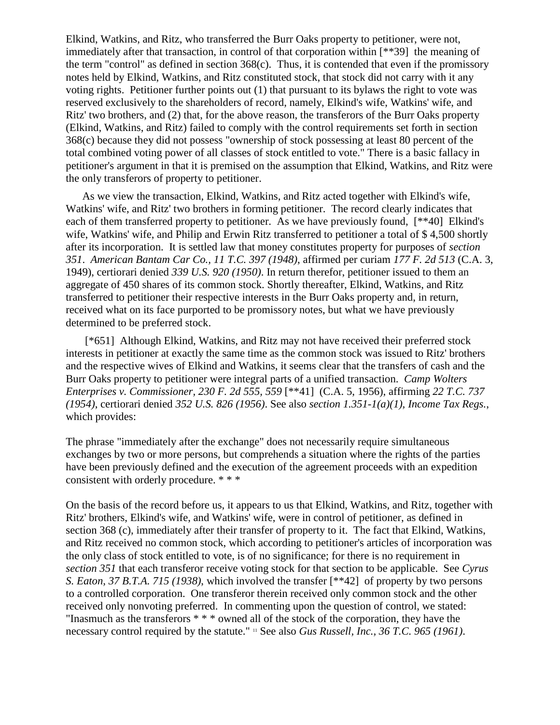Elkind, Watkins, and Ritz, who transferred the Burr Oaks property to petitioner, were not, immediately after that transaction, in control of that corporation within [\*\*39] the meaning of the term "control" as defined in section  $368(c)$ . Thus, it is contended that even if the promissory notes held by Elkind, Watkins, and Ritz constituted stock, that stock did not carry with it any voting rights. Petitioner further points out (1) that pursuant to its bylaws the right to vote was reserved exclusively to the shareholders of record, namely, Elkind's wife, Watkins' wife, and Ritz' two brothers, and (2) that, for the above reason, the transferors of the Burr Oaks property (Elkind, Watkins, and Ritz) failed to comply with the control requirements set forth in section 368(c) because they did not possess "ownership of stock possessing at least 80 percent of the total combined voting power of all classes of stock entitled to vote." There is a basic fallacy in petitioner's argument in that it is premised on the assumption that Elkind, Watkins, and Ritz were the only transferors of property to petitioner.

As we view the transaction, Elkind, Watkins, and Ritz acted together with Elkind's wife, Watkins' wife, and Ritz' two brothers in forming petitioner. The record clearly indicates that each of them transferred property to petitioner. As we have previously found, [\*\*40] Elkind's wife, Watkins' wife, and Philip and Erwin Ritz transferred to petitioner a total of \$ 4,500 shortly after its incorporation. It is settled law that money constitutes property for purposes of *section 351*. *American Bantam Car Co., 11 T.C. 397 (1948)*, affirmed per curiam *177 F. 2d 513* (C.A. 3, 1949), certiorari denied *339 U.S. 920 (1950)*. In return therefor, petitioner issued to them an aggregate of 450 shares of its common stock. Shortly thereafter, Elkind, Watkins, and Ritz transferred to petitioner their respective interests in the Burr Oaks property and, in return, received what on its face purported to be promissory notes, but what we have previously determined to be preferred stock.

[\*651] Although Elkind, Watkins, and Ritz may not have received their preferred stock interests in petitioner at exactly the same time as the common stock was issued to Ritz' brothers and the respective wives of Elkind and Watkins, it seems clear that the transfers of cash and the Burr Oaks property to petitioner were integral parts of a unified transaction. *Camp Wolters Enterprises v. Commissioner, 230 F. 2d 555, 559* [\*\*41] (C.A. 5, 1956), affirming *22 T.C. 737 (1954)*, certiorari denied *352 U.S. 826 (1956)*. See also *section 1.351-1(a)(1), Income Tax Regs.*, which provides:

The phrase "immediately after the exchange" does not necessarily require simultaneous exchanges by two or more persons, but comprehends a situation where the rights of the parties have been previously defined and the execution of the agreement proceeds with an expedition consistent with orderly procedure. \* \* \*

On the basis of the record before us, it appears to us that Elkind, Watkins, and Ritz, together with Ritz' brothers, Elkind's wife, and Watkins' wife, were in control of petitioner, as defined in section 368 (c), immediately after their transfer of property to it. The fact that Elkind, Watkins, and Ritz received no common stock, which according to petitioner's articles of incorporation was the only class of stock entitled to vote, is of no significance; for there is no requirement in *section 351* that each transferor receive voting stock for that section to be applicable. See *Cyrus S. Eaton, 37 B.T.A. 715 (1938)*, which involved the transfer [\*\*42] of property by two persons to a controlled corporation. One transferor therein received only common stock and the other received only nonvoting preferred. In commenting upon the question of control, we stated: "Inasmuch as the transferors \* \* \* owned all of the stock of the corporation, they have the necessary control required by the statute." <sup>11</sup> See also *Gus Russell, Inc., 36 T.C. 965 (1961)*.